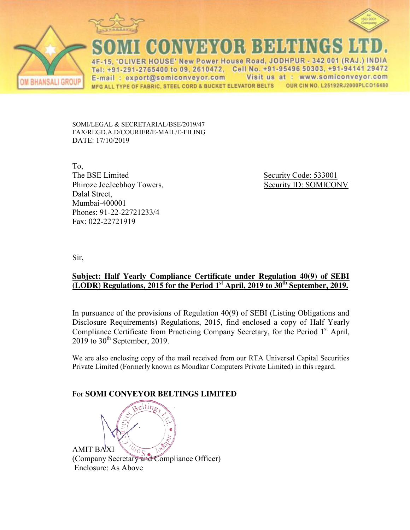



ANSALI GROU

CONNEY SYOR BEEFE

'OLIVER HOUSE' New Power House Road, JODHPUR - 342 001 (RAJ.) INDIA Tel: +91-291-2765400 to 09, 2610472, Cell No. +91-95496 50303, +91-94141 29472 Visit us at : www.somiconveyor.com E-mail: export@somiconveyor.com MFG ALL TYPE OF FABRIC, STEEL CORD & BUCKET ELEVATOR BELTS OUR CIN NO. L25192RJ2000PLCO16480

SOMI/LEGAL & SECRETARIAL/BSE/2019/47 FAX/REGD.A.D/COURIER/E-MAIL/E-FILING DATE: 17/10/2019

To, The BSE Limited Security Code: 533001 Phiroze JeeJeebhoy Towers, Security ID: SOMICONV Dalal Street, Mumbai-400001 Phones: 91-22-22721233/4 Fax: 022-22721919

Sir,

## **Subject: Half Yearly Compliance Certificate under Regulation 40(9) of SEBI (LODR) Regulations, 2015 for the Period 1st April, 2019 to 30th September, 2019.**

In pursuance of the provisions of Regulation 40(9) of SEBI (Listing Obligations and Disclosure Requirements) Regulations, 2015, find enclosed a copy of Half Yearly Compliance Certificate from Practicing Company Secretary, for the Period 1<sup>st</sup> April,  $2019$  to  $30<sup>th</sup>$  September, 2019.

We are also enclosing copy of the mail received from our RTA Universal Capital Securities Private Limited (Formerly known as Mondkar Computers Private Limited) in this regard.

# For **SOMI CONVEYOR BELTINGS LIMITED**

AMIT BAXI (Company Secretary and Compliance Officer) Enclosure: As Above

eltin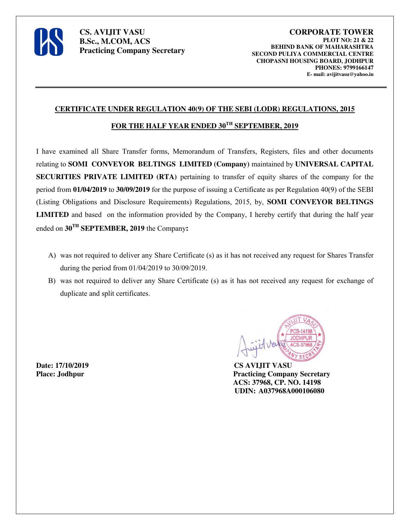

#### **CERTIFICATE UNDER REGULATION 40(9) OF THE SEBI (LODR) REGULATIONS, 2015**

### FOR THE HALF YEAR ENDED  $30^{TH}$  **SEPTEMBER, 2019**

I have examined all Share Transfer forms, Memorandum of Transfers, Registers, files and other documents relating to **SOMI CONVEYOR BELTINGS LIMITED (Company)** maintained by **UNIVERSAL CAPITAL SECURITIES PRIVATE LIMITED (RTA)** pertaining to transfer of equity shares of the company for the period from **01/04/2019** to **30/09/2019** for the purpose of issuing a Certificate as per Regulation 40(9) of the SEBI (Listing Obligations and Disclosure Requirements) Regulations, 2015, by, **SOMI CONVEYOR BELTINGS LIMITED** and based on the information provided by the Company, I hereby certify that during the half year ended on **30TH SEPTEMBER, 2019** the Company**:**

- A) was not required to deliver any Share Certificate (s) as it has not received any request for Shares Transfer during the period from 01/04/2019 to 30/09/2019.
- B) was not required to deliver any Share Certificate (s) as it has not received any request for exchange of duplicate and split certificates.

**Date: 17/10/2019 CS AVIJIT VASU**



**Place: Jodhpur Practicing Company Secretary ACS: 37968, CP. NO. 14198 UDIN: A037968A000106080**